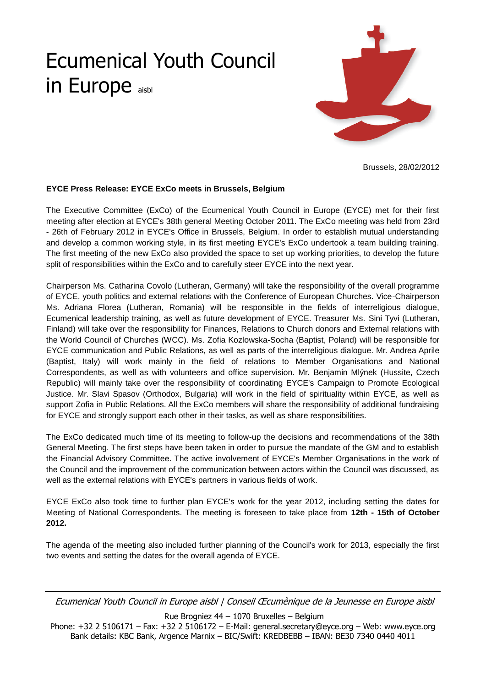## Ecumenical Youth Council in Europe aisbl



Brussels, 28/02/2012

## **EYCE Press Release: EYCE ExCo meets in Brussels, Belgium**

The Executive Committee (ExCo) of the Ecumenical Youth Council in Europe (EYCE) met for their first meeting after election at EYCE's 38th general Meeting October 2011. The ExCo meeting was held from 23rd - 26th of February 2012 in EYCE's Office in Brussels, Belgium. In order to establish mutual understanding and develop a common working style, in its first meeting EYCE's ExCo undertook a team building training. The first meeting of the new ExCo also provided the space to set up working priorities, to develop the future split of responsibilities within the ExCo and to carefully steer EYCE into the next year.

Chairperson Ms. Catharina Covolo (Lutheran, Germany) will take the responsibility of the overall programme of EYCE, youth politics and external relations with the Conference of European Churches. Vice-Chairperson Ms. Adriana Florea (Lutheran, Romania) will be responsible in the fields of interreligious dialogue, Ecumenical leadership training, as well as future development of EYCE. Treasurer Ms. Sini Tyvi (Lutheran, Finland) will take over the responsibility for Finances, Relations to Church donors and External relations with the World Council of Churches (WCC). Ms. Zofia Kozlowska-Socha (Baptist, Poland) will be responsible for EYCE communication and Public Relations, as well as parts of the interreligious dialogue. Mr. Andrea Aprile (Baptist, Italy) will work mainly in the field of relations to Member Organisations and National Correspondents, as well as with volunteers and office supervision. Mr. Benjamin Mlýnek (Hussite, Czech Republic) will mainly take over the responsibility of coordinating EYCE's Campaign to Promote Ecological Justice. Mr. Slavi Spasov (Orthodox, Bulgaria) will work in the field of spirituality within EYCE, as well as support Zofia in Public Relations. All the ExCo members will share the responsibility of additional fundraising for EYCE and strongly support each other in their tasks, as well as share responsibilities.

The ExCo dedicated much time of its meeting to follow-up the decisions and recommendations of the 38th General Meeting. The first steps have been taken in order to pursue the mandate of the GM and to establish the Financial Advisory Committee. The active involvement of EYCE's Member Organisations in the work of the Council and the improvement of the communication between actors within the Council was discussed, as well as the external relations with EYCE's partners in various fields of work.

EYCE ExCo also took time to further plan EYCE's work for the year 2012, including setting the dates for Meeting of National Correspondents. The meeting is foreseen to take place from **12th - 15th of October 2012.** 

The agenda of the meeting also included further planning of the Council's work for 2013, especially the first two events and setting the dates for the overall agenda of EYCE.

Ecumenical Youth Council in Europe aisbl | Conseil Œcumènique de la Jeunesse en Europe aisbl

Rue Brogniez 44 – 1070 Bruxelles – Belgium

Phone: +32 2 5106171 – Fax: +32 2 5106172 – E-Mail: general.secretary@eyce.org – Web: www.eyce.org Bank details: KBC Bank, Argence Marnix – BIC/Swift: KREDBEBB – IBAN: BE30 7340 0440 4011